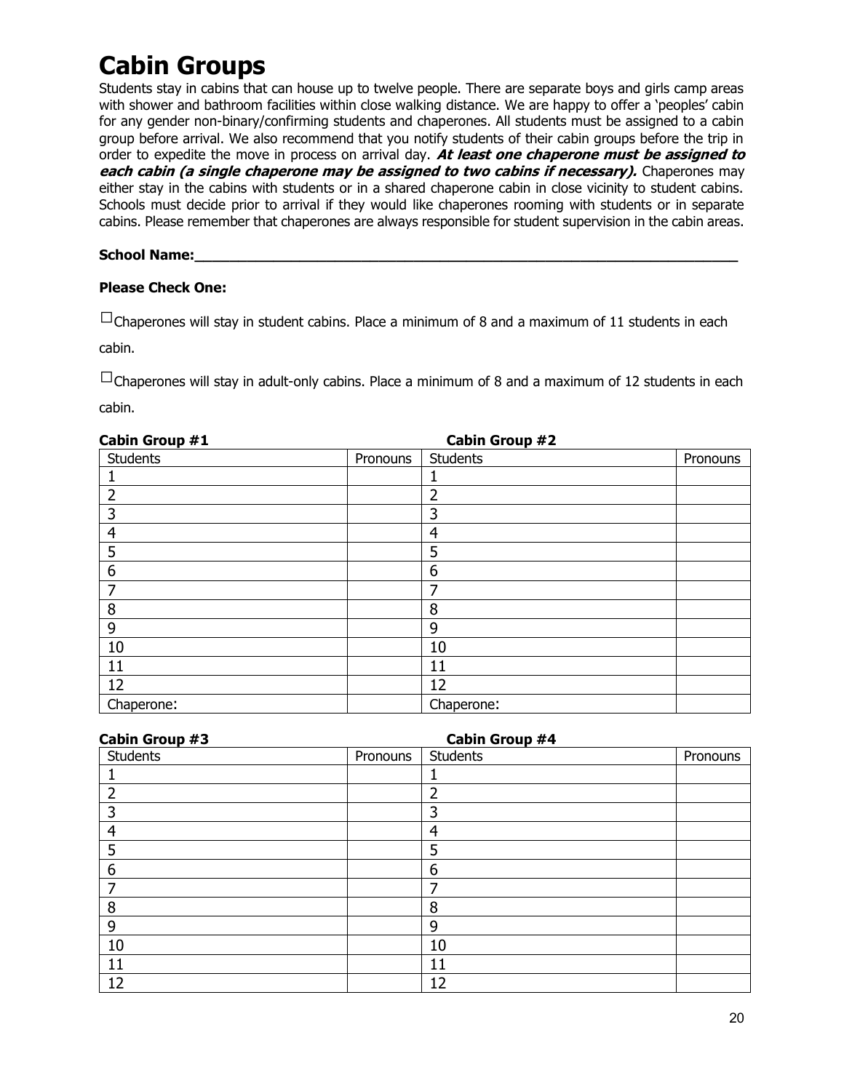## **Cabin Groups**

Students stay in cabins that can house up to twelve people. There are separate boys and girls camp areas with shower and bathroom facilities within close walking distance. We are happy to offer a 'peoples' cabin for any gender non-binary/confirming students and chaperones. All students must be assigned to a cabin group before arrival. We also recommend that you notify students of their cabin groups before the trip in order to expedite the move in process on arrival day. **At least one chaperone must be assigned to each cabin (a single chaperone may be assigned to two cabins if necessary).** Chaperones may either stay in the cabins with students or in a shared chaperone cabin in close vicinity to student cabins. Schools must decide prior to arrival if they would like chaperones rooming with students or in separate cabins. Please remember that chaperones are always responsible for student supervision in the cabin areas.

## School Name:

## **Please Check One:**

 $\Box$ Chaperones will stay in student cabins. Place a minimum of 8 and a maximum of 11 students in each cabin.

 $\Box$ Chaperones will stay in adult-only cabins. Place a minimum of 8 and a maximum of 12 students in each cabin.

| <b>Cabin Group #1</b> |          | <b>Cabin Group #2</b> |          |
|-----------------------|----------|-----------------------|----------|
| Students              | Pronouns | <b>Students</b>       | Pronouns |
|                       |          |                       |          |
| $\overline{2}$        |          | $\overline{2}$        |          |
| 3                     |          | 3                     |          |
| $\overline{4}$        |          | 4                     |          |
| 5                     |          | 5                     |          |
| 6                     |          | 6                     |          |
| 7                     |          | 7                     |          |
| 8                     |          | 8                     |          |
| 9                     |          | 9                     |          |
| 10                    |          | 10                    |          |
| 11                    |          | 11                    |          |
| 12                    |          | 12                    |          |
| Chaperone:            |          | Chaperone:            |          |

| <b>Cabin Group #3</b> |          | <b>Cabin Group #4</b> |          |
|-----------------------|----------|-----------------------|----------|
| Students              | Pronouns | <b>Students</b>       | Pronouns |
|                       |          |                       |          |
| າ                     |          | 2                     |          |
| 3                     |          | 3                     |          |
| 4                     |          | $\overline{4}$        |          |
| 5                     |          | 5                     |          |
| 6                     |          | 6                     |          |
| 7                     |          | 7                     |          |
| 8                     |          | 8                     |          |
| 9                     |          | 9                     |          |
| 10                    |          | 10                    |          |
| 11                    |          | 11                    |          |
| 12                    |          | 12                    |          |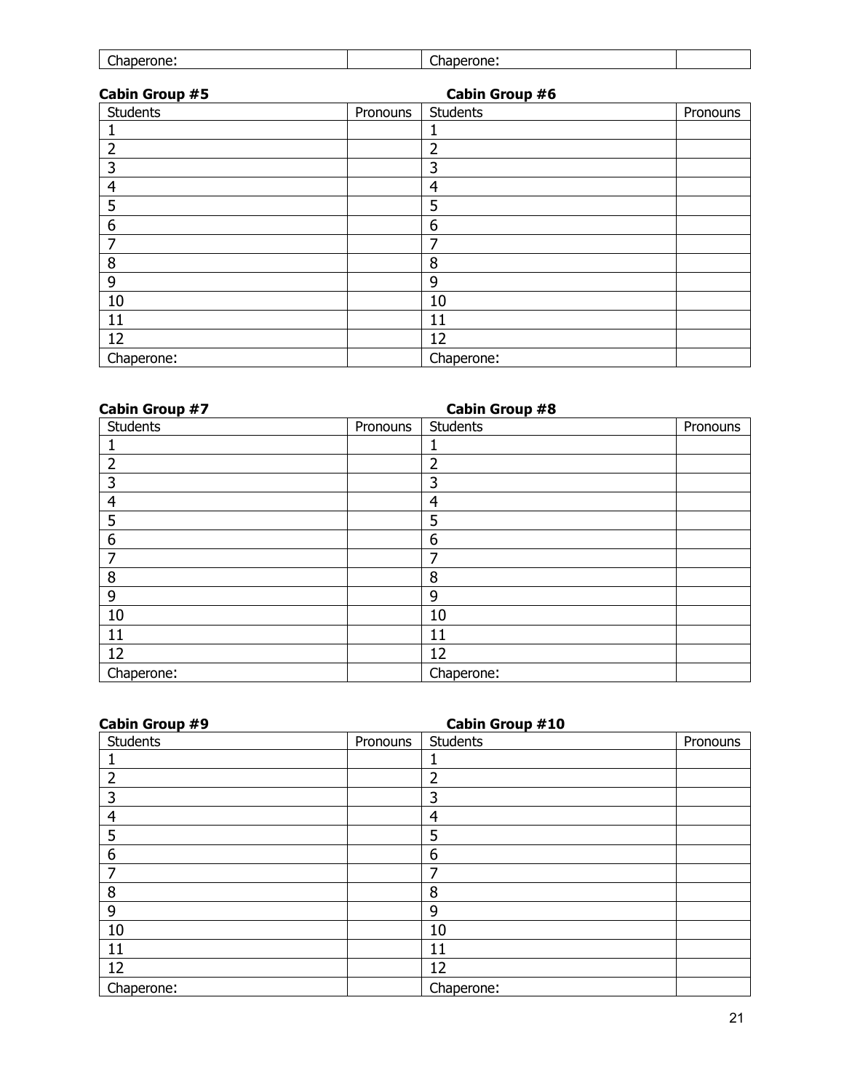| $\sim$<br>$\sim$<br>.ne<br>me.<br>u۳<br>. . |
|---------------------------------------------|
|---------------------------------------------|

| Cabin Group #5  |          | Cabin Group #6  |          |
|-----------------|----------|-----------------|----------|
| <b>Students</b> | Pronouns | <b>Students</b> | Pronouns |
|                 |          |                 |          |
| 2               |          | $\overline{2}$  |          |
| 3               |          | 3               |          |
| $\overline{4}$  |          | 4               |          |
| 5               |          | 5               |          |
| 6               |          | 6               |          |
|                 |          | 7               |          |
| 8               |          | 8               |          |
| 9               |          | 9               |          |
| 10              |          | 10              |          |
| 11              |          | 11              |          |
| 12              |          | 12              |          |
| Chaperone:      |          | Chaperone:      |          |

| <b>Cabin Group #7</b> |          | Cabin Group #8  |          |
|-----------------------|----------|-----------------|----------|
| <b>Students</b>       | Pronouns | <b>Students</b> | Pronouns |
|                       |          |                 |          |
| າ                     |          | $\overline{2}$  |          |
| 3                     |          | 3               |          |
| $\overline{4}$        |          | 4               |          |
| 5                     |          | 5               |          |
| 6                     |          | 6               |          |
|                       |          | 7               |          |
| 8                     |          | 8               |          |
| 9                     |          | 9               |          |
| 10                    |          | 10              |          |
| 11                    |          | 11              |          |
| 12                    |          | 12              |          |
| Chaperone:            |          | Chaperone:      |          |

| <b>Cabin Group #9</b> |          | <b>Cabin Group #10</b> |          |
|-----------------------|----------|------------------------|----------|
| Students              | Pronouns | <b>Students</b>        | Pronouns |
|                       |          |                        |          |
| 2                     |          | $\overline{2}$         |          |
| 3                     |          | 3                      |          |
| $\overline{4}$        |          | $\overline{4}$         |          |
| 5                     |          | 5                      |          |
| 6                     |          | 6                      |          |
| 7                     |          | 7                      |          |
| 8                     |          | 8                      |          |
| 9                     |          | 9                      |          |
| 10                    |          | 10                     |          |
| 11                    |          | 11                     |          |
| 12                    |          | 12                     |          |
| Chaperone:            |          | Chaperone:             |          |